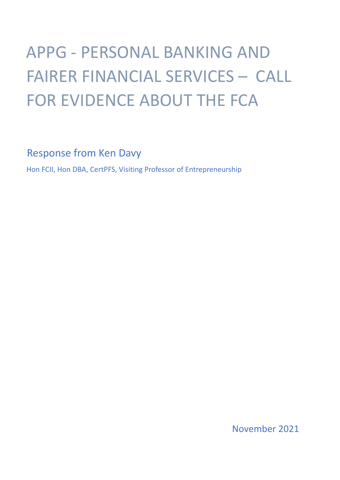# APPG - PERSONAL BANKING AND FAIRER FINANCIAL SERVICES – CALL FOR EVIDENCE ABOUT THE FCA

Response from Ken Davy

Hon FCII, Hon DBA, CertPFS, Visiting Professor of Entrepreneurship

November 2021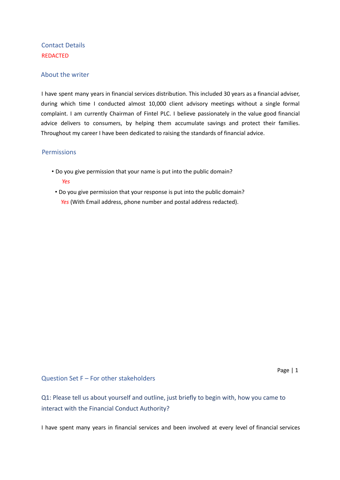# Contact Details REDACTED

## About the writer

I have spent many years in financial services distribution. This included 30 years as a financial adviser, during which time I conducted almost 10,000 client advisory meetings without a single formal complaint. I am currently Chairman of Fintel PLC. I believe passionately in the value good financial advice delivers to consumers, by helping them accumulate savings and protect their families. Throughout my career I have been dedicated to raising the standards of financial advice.

## **Permissions**

- Do you give permission that your name is put into the public domain? *Yes*
- Do you give permission that your response is put into the public domain? *Yes* (With Email address, phone number and postal address redacted).

Question Set F – For other stakeholders

Q1: Please tell us about yourself and outline, just briefly to begin with, how you came to interact with the Financial Conduct Authority?

I have spent many years in financial services and been involved at every level of financial services

Page | 1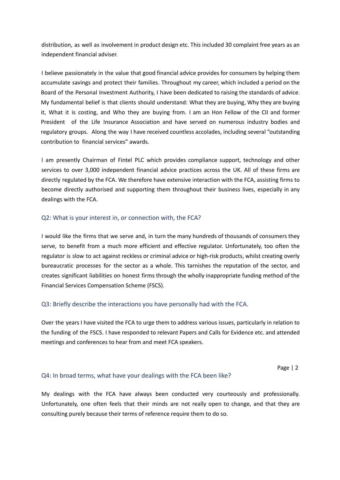distribution, as well as involvement in product design etc. This included 30 complaint free years as an independent financial adviser.

I believe passionately in the value that good financial advice provides for consumers by helping them accumulate savings and protect their families. Throughout my career, which included a period on the Board of the Personal Investment Authority, I have been dedicated to raising the standards of advice. My fundamental belief is that clients should understand: What they are buying, Why they are buying it, What it is costing, and Who they are buying from. I am an Hon Fellow of the CII and former President of the Life Insurance Association and have served on numerous industry bodies and regulatory groups. Along the way I have received countless accolades, including several "outstanding contribution to financial services" awards.

I am presently Chairman of Fintel PLC which provides compliance support, technology and other services to over 3,000 independent financial advice practices across the UK. All of these firms are directly regulated by the FCA. We therefore have extensive interaction with the FCA, assisting firms to become directly authorised and supporting them throughout their business lives, especially in any dealings with the FCA.

## Q2: What is your interest in, or connection with, the FCA?

I would like the firms that we serve and, in turn the many hundreds of thousands of consumers they serve, to benefit from a much more efficient and effective regulator. Unfortunately, too often the regulator is slow to act against reckless or criminal advice or high-risk products, whilst creating overly bureaucratic processes for the sector as a whole. This tarnishes the reputation of the sector, and creates significant liabilities on honest firms through the wholly inappropriate funding method of the Financial Services Compensation Scheme (FSCS).

#### Q3: Briefly describe the interactions you have personally had with the FCA.

Over the years I have visited the FCA to urge them to address various issues, particularly in relation to the funding of the FSCS. I have responded to relevant Papers and Calls for Evidence etc. and attended meetings and conferences to hear from and meet FCA speakers.

Page | 2

#### Q4: In broad terms, what have your dealings with the FCA been like?

My dealings with the FCA have always been conducted very courteously and professionally. Unfortunately, one often feels that their minds are not really open to change, and that they are consulting purely because their terms of reference require them to do so.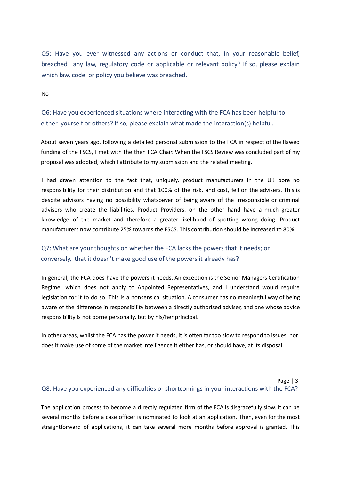Q5: Have you ever witnessed any actions or conduct that, in your reasonable belief, breached any law, regulatory code or applicable or relevant policy? If so, please explain which law, code or policy you believe was breached.

No

Q6: Have you experienced situations where interacting with the FCA has been helpful to either yourself or others? If so, please explain what made the interaction(s) helpful.

About seven years ago, following a detailed personal submission to the FCA in respect of the flawed funding of the FSCS, I met with the then FCA Chair. When the FSCS Review was concluded part of my proposal was adopted, which I attribute to my submission and the related meeting.

I had drawn attention to the fact that, uniquely, product manufacturers in the UK bore no responsibility for their distribution and that 100% of the risk, and cost, fell on the advisers. This is despite advisors having no possibility whatsoever of being aware of the irresponsible or criminal advisers who create the liabilities. Product Providers, on the other hand have a much greater knowledge of the market and therefore a greater likelihood of spotting wrong doing. Product manufacturers now contribute 25% towards the FSCS. This contribution should be increased to 80%.

# Q7: What are your thoughts on whether the FCA lacks the powers that it needs; or conversely, that it doesn't make good use of the powers it already has?

In general, the FCA does have the powers it needs. An exception is the Senior Managers Certification Regime, which does not apply to Appointed Representatives, and I understand would require legislation for it to do so. This is a nonsensical situation. A consumer has no meaningful way of being aware of the difference in responsibility between a directly authorised adviser, and one whose advice responsibility is not borne personally, but by his/her principal.

In other areas, whilst the FCA has the power it needs, it is often far too slow to respond to issues, nor does it make use of some of the market intelligence it either has, or should have, at its disposal.

## Page | 3 Q8: Have you experienced any difficulties or shortcomings in your interactions with the FCA?

The application process to become a directly regulated firm of the FCA is disgracefully slow. It can be several months before a case officer is nominated to look at an application. Then, even for the most straightforward of applications, it can take several more months before approval is granted. This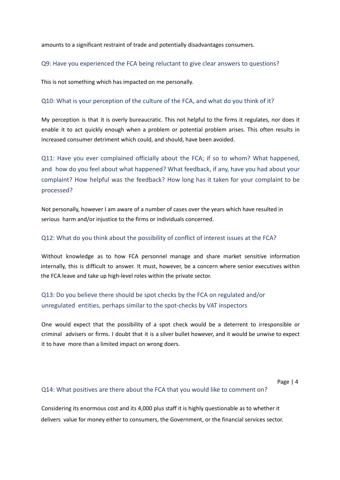amounts to a significant restraint of trade and potentially disadvantages consumers.

#### Q9: Have you experienced the FCA being reluctant to give clear answers to questions?

This is not something which has impacted on me personally.

#### Q10: What is your perception of the culture of the FCA, and what do you think of it?

My perception is that it is overly bureaucratic. This not helpful to the firms it regulates, nor does it enable it to act quickly enough when a problem or potential problem arises. This often results in increased consumer detriment which could, and should, have been avoided.

Q11: Have you ever complained officially about the FCA; if so to whom? What happened, and how do you feel about what happened? What feedback, if any, have you had about your complaint? How helpful was the feedback? How long has it taken for your complaint to be processed?

Not personally, however I am aware of a number of cases over the years which have resulted in serious harm and/or injustice to the firms or individuals concerned.

#### Q12: What do you think about the possibility of conflict of interest issues at the FCA?

Without knowledge as to how FCA personnel manage and share market sensitive information internally, this is difficult to answer. It must, however, be a concern where senior executives within the FCA leave and take up high-level roles within the private sector.

# Q13: Do you believe there should be spot checks by the FCA on regulated and/or unregulated entities, perhaps similar to the spot-checks by VAT inspectors

One would expect that the possibility of a spot check would be a deterrent to irresponsible or criminal advisers or firms. I doubt that it is a silver bullet however, and it would be unwise to expect it to have more than a limited impact on wrong doers.

Page | 4

#### Q14: What positives are there about the FCA that you would like to comment on?

Considering its enormous cost and its 4,000 plus staff it is highly questionable as to whether it delivers value for money either to consumers, the Government, or the financial services sector.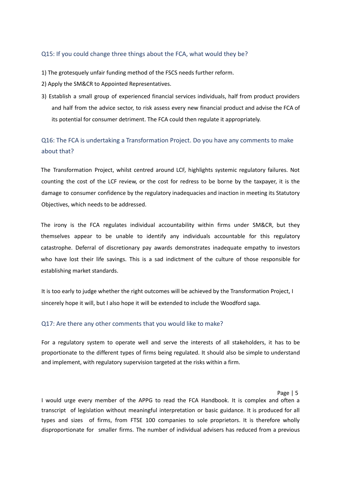## Q15: If you could change three things about the FCA, what would they be?

- 1) The grotesquely unfair funding method of the FSCS needs further reform.
- 2) Apply the SM&CR to Appointed Representatives.
- 3) Establish a small group of experienced financial services individuals, half from product providers and half from the advice sector, to risk assess every new financial product and advise the FCA of its potential for consumer detriment. The FCA could then regulate it appropriately.

# Q16: The FCA is undertaking a Transformation Project. Do you have any comments to make about that?

The Transformation Project, whilst centred around LCF, highlights systemic regulatory failures. Not counting the cost of the LCF review, or the cost for redress to be borne by the taxpayer, it is the damage to consumer confidence by the regulatory inadequacies and inaction in meeting its Statutory Objectives, which needs to be addressed.

The irony is the FCA regulates individual accountability within firms under SM&CR, but they themselves appear to be unable to identify any individuals accountable for this regulatory catastrophe. Deferral of discretionary pay awards demonstrates inadequate empathy to investors who have lost their life savings. This is a sad indictment of the culture of those responsible for establishing market standards.

It is too early to judge whether the right outcomes will be achieved by the Transformation Project, I sincerely hope it will, but I also hope it will be extended to include the Woodford saga.

#### Q17: Are there any other comments that you would like to make?

For a regulatory system to operate well and serve the interests of all stakeholders, it has to be proportionate to the different types of firms being regulated. It should also be simple to understand and implement, with regulatory supervision targeted at the risks within a firm.

#### Page | 5

I would urge every member of the APPG to read the FCA Handbook. It is complex and often a transcript of legislation without meaningful interpretation or basic guidance. It is produced for all types and sizes of firms, from FTSE 100 companies to sole proprietors. It is therefore wholly disproportionate for smaller firms. The number of individual advisers has reduced from a previous